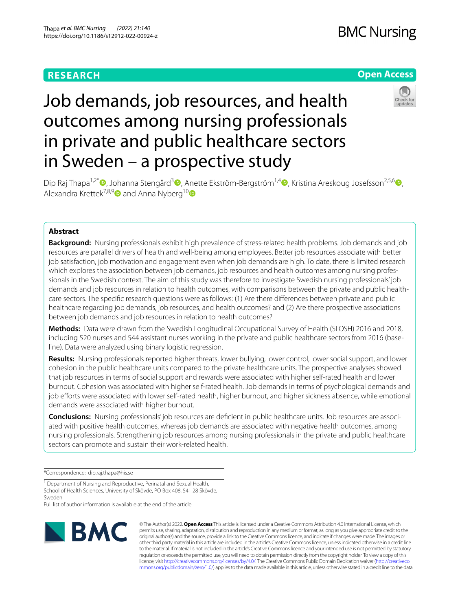# **RESEARCH**

## **Open Access**



# Job demands, job resources, and health outcomes among nursing professionals in private and public healthcare sectors in Sweden – a prospective study

Dip Raj Thapa<sup>1,2[\\*](https://orcid.org/0000-0002-6596-5837)</sup> (**D**, Johanna Stengård<sup>[3](https://orcid.org/0000-0001-7740-4634)</sup> , Anette Ekström-Bergström<sup>1,[4](https://orcid.org/0000-0002-2261-0112)</sup> , Kristina Areskoug Josefsson<sup>2,5,[6](https://orcid.org/0000-0002-7669-4702)</sup> , Alexandra Krettek<sup>7,8,9</sup> and Anna Nyberg<sup>10</sup>

## **Abstract**

**Background:** Nursing professionals exhibit high prevalence of stress-related health problems. Job demands and job resources are parallel drivers of health and well-being among employees. Better job resources associate with better job satisfaction, job motivation and engagement even when job demands are high. To date, there is limited research which explores the association between job demands, job resources and health outcomes among nursing professionals in the Swedish context. The aim of this study was therefore to investigate Swedish nursing professionals' job demands and job resources in relation to health outcomes, with comparisons between the private and public healthcare sectors. The specifc research questions were as follows: (1) Are there diferences between private and public healthcare regarding job demands, job resources, and health outcomes? and (2) Are there prospective associations between job demands and job resources in relation to health outcomes?

**Methods:** Data were drawn from the Swedish Longitudinal Occupational Survey of Health (SLOSH) 2016 and 2018, including 520 nurses and 544 assistant nurses working in the private and public healthcare sectors from 2016 (baseline). Data were analyzed using binary logistic regression.

**Results:** Nursing professionals reported higher threats, lower bullying, lower control, lower social support, and lower cohesion in the public healthcare units compared to the private healthcare units. The prospective analyses showed that job resources in terms of social support and rewards were associated with higher self-rated health and lower burnout. Cohesion was associated with higher self-rated health. Job demands in terms of psychological demands and job efforts were associated with lower self-rated health, higher burnout, and higher sickness absence, while emotional demands were associated with higher burnout.

Conclusions: Nursing professionals' job resources are deficient in public healthcare units. Job resources are associated with positive health outcomes, whereas job demands are associated with negative health outcomes, among nursing professionals. Strengthening job resources among nursing professionals in the private and public healthcare sectors can promote and sustain their work-related health.

\*Correspondence: dip.raj.thapa@his.se

<sup>1</sup> Department of Nursing and Reproductive, Perinatal and Sexual Health, School of Health Sciences, University of Skövde, PO Box 408, 541 28 Skövde, Sweden

Full list of author information is available at the end of the article



© The Author(s) 2022. **Open Access** This article is licensed under a Creative Commons Attribution 4.0 International License, which permits use, sharing, adaptation, distribution and reproduction in any medium or format, as long as you give appropriate credit to the original author(s) and the source, provide a link to the Creative Commons licence, and indicate if changes were made. The images or other third party material in this article are included in the article's Creative Commons licence, unless indicated otherwise in a credit line to the material. If material is not included in the article's Creative Commons licence and your intended use is not permitted by statutory regulation or exceeds the permitted use, you will need to obtain permission directly from the copyright holder. To view a copy of this licence, visit [http://creativecommons.org/licenses/by/4.0/.](http://creativecommons.org/licenses/by/4.0/) The Creative Commons Public Domain Dedication waiver ([http://creativeco](http://creativecommons.org/publicdomain/zero/1.0/) [mmons.org/publicdomain/zero/1.0/](http://creativecommons.org/publicdomain/zero/1.0/)) applies to the data made available in this article, unless otherwise stated in a credit line to the data.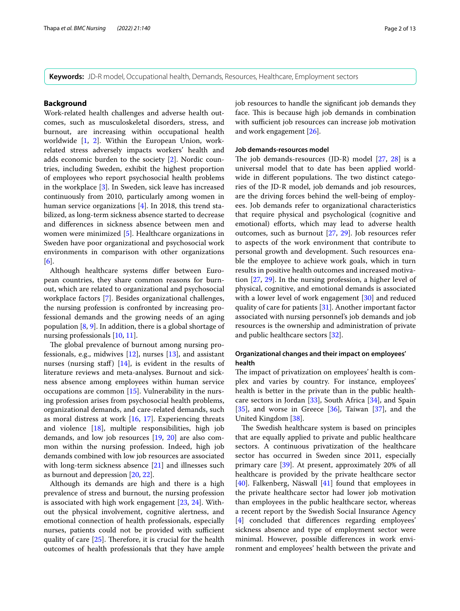**Keywords:** JD-R model, Occupational health, Demands, Resources, Healthcare, Employment sectors

#### **Background**

Work-related health challenges and adverse health outcomes, such as musculoskeletal disorders, stress, and burnout, are increasing within occupational health worldwide [\[1](#page-11-0), [2\]](#page-11-1). Within the European Union, workrelated stress adversely impacts workers' health and adds economic burden to the society [\[2](#page-11-1)]. Nordic countries, including Sweden, exhibit the highest proportion of employees who report psychosocial health problems in the workplace [\[3](#page-11-2)]. In Sweden, sick leave has increased continuously from 2010, particularly among women in human service organizations [[4\]](#page-11-3). In 2018, this trend stabilized, as long-term sickness absence started to decrease and diferences in sickness absence between men and women were minimized [[5\]](#page-11-4). Healthcare organizations in Sweden have poor organizational and psychosocial work environments in comparison with other organizations [[6\]](#page-11-5).

Although healthcare systems difer between European countries, they share common reasons for burnout, which are related to organizational and psychosocial workplace factors [\[7](#page-11-6)]. Besides organizational challenges, the nursing profession is confronted by increasing professional demands and the growing needs of an aging population  $[8, 9]$  $[8, 9]$  $[8, 9]$  $[8, 9]$ . In addition, there is a global shortage of nursing professionals [[10,](#page-11-9) [11\]](#page-11-10).

The global prevalence of burnout among nursing professionals, e.g., midwives  $[12]$  $[12]$ , nurses  $[13]$  $[13]$ , and assistant nurses (nursing staff)  $[14]$  $[14]$  $[14]$ , is evident in the results of literature reviews and meta-analyses. Burnout and sickness absence among employees within human service occupations are common [\[15](#page-11-14)]. Vulnerability in the nursing profession arises from psychosocial health problems, organizational demands, and care-related demands, such as moral distress at work  $[16, 17]$  $[16, 17]$  $[16, 17]$  $[16, 17]$ . Experiencing threats and violence [\[18](#page-11-17)], multiple responsibilities, high job demands, and low job resources [\[19,](#page-11-18) [20\]](#page-11-19) are also common within the nursing profession. Indeed, high job demands combined with low job resources are associated with long-term sickness absence [\[21\]](#page-11-20) and illnesses such as burnout and depression [\[20](#page-11-19), [22](#page-11-21)].

Although its demands are high and there is a high prevalence of stress and burnout, the nursing profession is associated with high work engagement [[23,](#page-11-22) [24\]](#page-11-23). Without the physical involvement, cognitive alertness, and emotional connection of health professionals, especially nurses, patients could not be provided with sufficient quality of care  $[25]$  $[25]$ . Therefore, it is crucial for the health outcomes of health professionals that they have ample job resources to handle the signifcant job demands they face. This is because high job demands in combination with sufficient job resources can increase job motivation and work engagement [\[26](#page-11-25)].

#### **Job demands‑resources model**

The job demands-resources (JD-R) model  $[27, 28]$  $[27, 28]$  $[27, 28]$  $[27, 28]$  is a universal model that to date has been applied worldwide in different populations. The two distinct categories of the JD-R model, job demands and job resources, are the driving forces behind the well-being of employees. Job demands refer to organizational characteristics that require physical and psychological (cognitive and emotional) efforts, which may lead to adverse health outcomes, such as burnout [\[27](#page-11-26), [29\]](#page-11-28). Job resources refer to aspects of the work environment that contribute to personal growth and development. Such resources enable the employee to achieve work goals, which in turn results in positive health outcomes and increased motivation [[27](#page-11-26), [29\]](#page-11-28). In the nursing profession, a higher level of physical, cognitive, and emotional demands is associated with a lower level of work engagement [\[30](#page-11-29)] and reduced quality of care for patients [[31](#page-11-30)]. Another important factor associated with nursing personnel's job demands and job resources is the ownership and administration of private and public healthcare sectors [\[32](#page-11-31)].

## **Organizational changes and their impact on employees' health**

The impact of privatization on employees' health is complex and varies by country. For instance, employees' health is better in the private than in the public healthcare sectors in Jordan [[33](#page-11-32)], South Africa [\[34\]](#page-11-33), and Spain  $[35]$  $[35]$ , and worse in Greece  $[36]$  $[36]$ , Taiwan  $[37]$  $[37]$ , and the United Kingdom [[38\]](#page-12-1).

The Swedish healthcare system is based on principles that are equally applied to private and public healthcare sectors. A continuous privatization of the healthcare sector has occurred in Sweden since 2011, especially primary care [\[39](#page-12-2)]. At present, approximately 20% of all healthcare is provided by the private healthcare sector [[40\]](#page-12-3). Falkenberg, Näswall [\[41](#page-12-4)] found that employees in the private healthcare sector had lower job motivation than employees in the public healthcare sector, whereas a recent report by the Swedish Social Insurance Agency [[4\]](#page-11-3) concluded that diferences regarding employees' sickness absence and type of employment sector were minimal. However, possible diferences in work environment and employees' health between the private and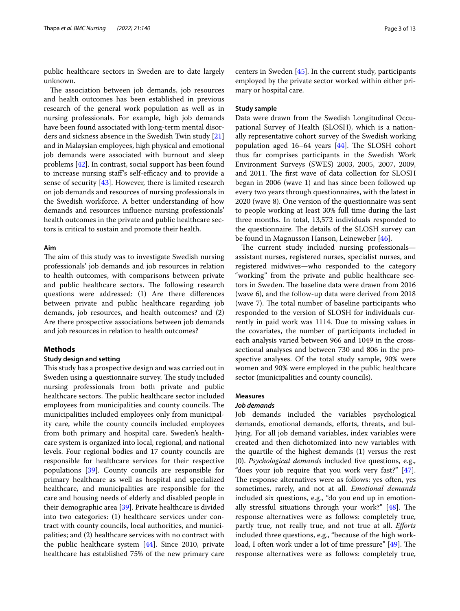public healthcare sectors in Sweden are to date largely unknown.

The association between job demands, job resources and health outcomes has been established in previous research of the general work population as well as in nursing professionals. For example, high job demands have been found associated with long-term mental disorders and sickness absence in the Swedish Twin study [[21](#page-11-20)] and in Malaysian employees, high physical and emotional job demands were associated with burnout and sleep problems [[42](#page-12-5)]. In contrast, social support has been found to increase nursing staff's self-efficacy and to provide a sense of security [\[43\]](#page-12-6). However, there is limited research on job demands and resources of nursing professionals in the Swedish workforce. A better understanding of how demands and resources infuence nursing professionals' health outcomes in the private and public healthcare sectors is critical to sustain and promote their health.

#### **Aim**

The aim of this study was to investigate Swedish nursing professionals' job demands and job resources in relation to health outcomes, with comparisons between private and public healthcare sectors. The following research questions were addressed: (1) Are there diferences between private and public healthcare regarding job demands, job resources, and health outcomes? and (2) Are there prospective associations between job demands and job resources in relation to health outcomes?

#### **Methods**

#### **Study design and setting**

This study has a prospective design and was carried out in Sweden using a questionnaire survey. The study included nursing professionals from both private and public healthcare sectors. The public healthcare sector included employees from municipalities and county councils. The municipalities included employees only from municipality care, while the county councils included employees from both primary and hospital care. Sweden's healthcare system is organized into local, regional, and national levels. Four regional bodies and 17 county councils are responsible for healthcare services for their respective populations [[39](#page-12-2)]. County councils are responsible for primary healthcare as well as hospital and specialized healthcare, and municipalities are responsible for the care and housing needs of elderly and disabled people in their demographic area [\[39](#page-12-2)]. Private healthcare is divided into two categories: (1) healthcare services under contract with county councils, local authorities, and municipalities; and (2) healthcare services with no contract with the public healthcare system [\[44](#page-12-7)]. Since 2010, private healthcare has established 75% of the new primary care centers in Sweden [[45\]](#page-12-8). In the current study, participants employed by the private sector worked within either primary or hospital care.

#### **Study sample**

Data were drawn from the Swedish Longitudinal Occupational Survey of Health (SLOSH), which is a nationally representative cohort survey of the Swedish working population aged  $16-64$  years  $[44]$  $[44]$ . The SLOSH cohort thus far comprises participants in the Swedish Work Environment Surveys (SWES) 2003, 2005, 2007, 2009, and 2011. The first wave of data collection for SLOSH began in 2006 (wave 1) and has since been followed up every two years through questionnaires, with the latest in 2020 (wave 8). One version of the questionnaire was sent to people working at least 30% full time during the last three months. In total, 13,572 individuals responded to the questionnaire. The details of the SLOSH survey can be found in Magnusson Hanson, Leineweber [[46\]](#page-12-9).

The current study included nursing professionalsassistant nurses, registered nurses, specialist nurses, and registered midwives—who responded to the category "working" from the private and public healthcare sectors in Sweden. The baseline data were drawn from 2016 (wave 6), and the follow-up data were derived from 2018 (wave 7). The total number of baseline participants who responded to the version of SLOSH for individuals currently in paid work was 1114. Due to missing values in the covariates, the number of participants included in each analysis varied between 966 and 1049 in the crosssectional analyses and between 730 and 806 in the prospective analyses. Of the total study sample, 90% were women and 90% were employed in the public healthcare sector (municipalities and county councils).

## **Measures**

#### *Job demands*

Job demands included the variables psychological demands, emotional demands, efforts, threats, and bullying. For all job demand variables, index variables were created and then dichotomized into new variables with the quartile of the highest demands (1) versus the rest (0). *Psychological demands* included fve questions, e.g., "does your job require that you work very fast?" [\[47](#page-12-10)]. The response alternatives were as follows: yes often, yes sometimes, rarely, and not at all. *Emotional demands* included six questions, e.g., "do you end up in emotionally stressful situations through your work?"  $[48]$  $[48]$ . The response alternatives were as follows: completely true, partly true, not really true, and not true at all. *Eforts* included three questions, e.g., "because of the high work-load, I often work under a lot of time pressure" [\[49\]](#page-12-12). The response alternatives were as follows: completely true,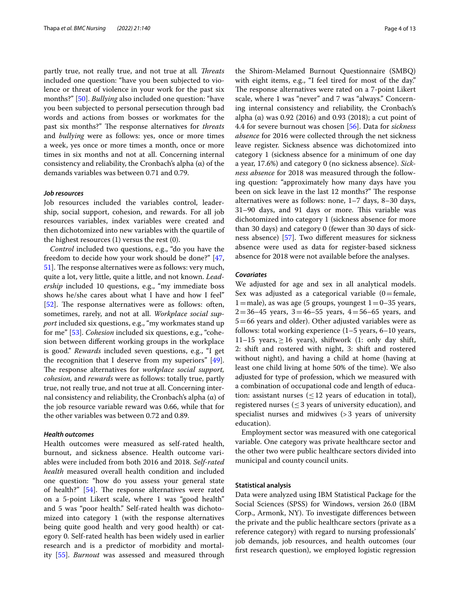partly true, not really true, and not true at all. Threats included one question: "have you been subjected to violence or threat of violence in your work for the past six months?" [[50\]](#page-12-13). *Bullying* also included one question: "have you been subjected to personal persecution through bad words and actions from bosses or workmates for the past six months?" The response alternatives for *threats* and *bullying* were as follows: yes, once or more times a week, yes once or more times a month, once or more times in six months and not at all. Concerning internal consistency and reliability, the Cronbach's alpha  $(\alpha)$  of the demands variables was between 0.71 and 0.79.

#### *Job resources*

Job resources included the variables control, leadership, social support, cohesion, and rewards. For all job resources variables, index variables were created and then dichotomized into new variables with the quartile of the highest resources (1) versus the rest (0).

*Control* included two questions, e.g., "do you have the freedom to decide how your work should be done?" [\[47](#page-12-10), 51. The response alternatives were as follows: very much, quite a lot, very little, quite a little, and not known. *Leadership* included 10 questions, e.g., "my immediate boss shows he/she cares about what I have and how I feel" [[52\]](#page-12-15). The response alternatives were as follows: often, sometimes, rarely, and not at all. *Workplace social support* included six questions, e.g., "my workmates stand up for me" [[53\]](#page-12-16). *Cohesion* included six questions, e.g., "cohesion between diferent working groups in the workplace is good." *Rewards* included seven questions, e.g., "I get the recognition that I deserve from my superiors" [\[49](#page-12-12)]. The response alternatives for *workplace social support*, *cohesion,* and *rewards* were as follows: totally true, partly true, not really true, and not true at all. Concerning internal consistency and reliability, the Cronbach's alpha (α) of the job resource variable reward was 0.66, while that for the other variables was between 0.72 and 0.89.

### *Health outcomes*

Health outcomes were measured as self-rated health, burnout, and sickness absence. Health outcome variables were included from both 2016 and 2018. *S*e*lf-rated health* measured overall health condition and included one question: "how do you assess your general state of health?"  $[54]$  $[54]$ . The response alternatives were rated on a 5-point Likert scale, where 1 was "good health" and 5 was "poor health." Self-rated health was dichotomized into category 1 (with the response alternatives being quite good health and very good health) or category 0. Self-rated health has been widely used in earlier research and is a predictor of morbidity and mortality [\[55\]](#page-12-18). *Burnout* was assessed and measured through the Shirom-Melamed Burnout Questionnaire (SMBQ) with eight items, e.g., "I feel tired for most of the day." The response alternatives were rated on a 7-point Likert scale, where 1 was "never" and 7 was "always." Concerning internal consistency and reliability, the Cronbach's alpha  $(\alpha)$  was 0.92 (2016) and 0.93 (2018); a cut point of 4.4 for severe burnout was chosen [\[56\]](#page-12-19). Data for *sickness absence* for 2016 were collected through the net sickness leave register. Sickness absence was dichotomized into category 1 (sickness absence for a minimum of one day a year, 17.6%) and category 0 (no sickness absence). *Sickness absence* for 2018 was measured through the following question: "approximately how many days have you been on sick leave in the last 12 months?" The response alternatives were as follows: none, 1–7 days, 8–30 days, 31-90 days, and 91 days or more. This variable was dichotomized into category 1 (sickness absence for more than 30 days) and category 0 (fewer than 30 days of sickness absence) [\[57](#page-12-20)]. Two diferent measures for sickness absence were used as data for register-based sickness absence for 2018 were not available before the analyses.

#### *Covariates*

We adjusted for age and sex in all analytical models. Sex was adjusted as a categorical variable  $(0=$  female,  $1=$ male), as was age (5 groups, youngest  $1=0-35$  years,  $2=36-45$  years,  $3=46-55$  years,  $4=56-65$  years, and  $5=66$  years and older). Other adjusted variables were as follows: total working experience (1–5 years, 6–10 years, 11–15 years,  $\geq$  16 years), shiftwork (1: only day shift, 2: shift and rostered with night, 3: shift and rostered without night), and having a child at home (having at least one child living at home 50% of the time). We also adjusted for type of profession, which we measured with a combination of occupational code and length of education: assistant nurses  $(\leq 12$  years of education in total), registered nurses ( $\leq$ 3 years of university education), and specialist nurses and midwives (>3 years of university education).

Employment sector was measured with one categorical variable. One category was private healthcare sector and the other two were public healthcare sectors divided into municipal and county council units.

#### **Statistical analysis**

Data were analyzed using IBM Statistical Package for the Social Sciences (SPSS) for Windows, version 26.0 (IBM Corp., Armonk, NY). To investigate diferences between the private and the public healthcare sectors (private as a reference category) with regard to nursing professionals' job demands, job resources, and health outcomes (our frst research question), we employed logistic regression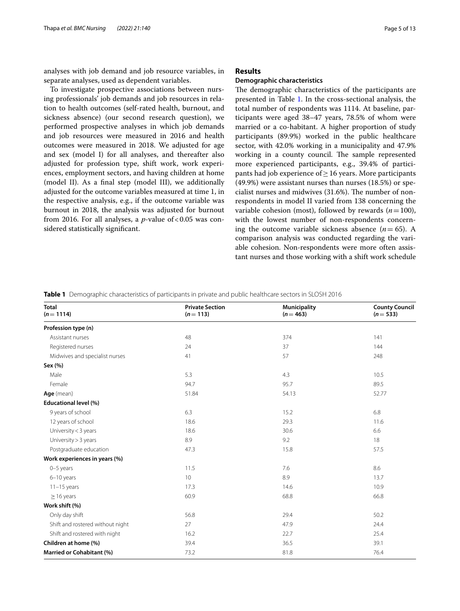analyses with job demand and job resource variables, in separate analyses, used as dependent variables.

To investigate prospective associations between nursing professionals' job demands and job resources in relation to health outcomes (self-rated health, burnout, and sickness absence) (our second research question), we performed prospective analyses in which job demands and job resources were measured in 2016 and health outcomes were measured in 2018. We adjusted for age and sex (model I) for all analyses, and thereafter also adjusted for profession type, shift work, work experiences, employment sectors, and having children at home (model II). As a fnal step (model III), we additionally adjusted for the outcome variables measured at time 1, in the respective analysis, e.g., if the outcome variable was burnout in 2018, the analysis was adjusted for burnout from 2016. For all analyses, a  $p$ -value of <0.05 was considered statistically signifcant.

## **Results**

#### **Demographic characteristics**

The demographic characteristics of the participants are presented in Table [1.](#page-4-0) In the cross-sectional analysis, the total number of respondents was 1114. At baseline, participants were aged 38–47 years, 78.5% of whom were married or a co-habitant. A higher proportion of study participants (89.9%) worked in the public healthcare sector, with 42.0% working in a municipality and 47.9% working in a county council. The sample represented more experienced participants, e.g., 39.4% of participants had job experience of  $\geq$  16 years. More participants (49.9%) were assistant nurses than nurses (18.5%) or specialist nurses and midwives  $(31.6%)$ . The number of nonrespondents in model II varied from 138 concerning the variable cohesion (most), followed by rewards (*n*=100), with the lowest number of non-respondents concerning the outcome variable sickness absence  $(n= 65)$ . A comparison analysis was conducted regarding the variable cohesion. Non-respondents were more often assistant nurses and those working with a shift work schedule

<span id="page-4-0"></span>**Table 1** Demographic characteristics of participants in private and public healthcare sectors in SLOSH 2016

| <b>Total</b><br>$(n = 1114)$     | <b>Private Section</b><br>$(n=113)$ | <b>Municipality</b><br>$(n = 463)$ | <b>County Council</b><br>$(n=533)$ |
|----------------------------------|-------------------------------------|------------------------------------|------------------------------------|
| Profession type (n)              |                                     |                                    |                                    |
| Assistant nurses                 | 48                                  | 374                                | 141                                |
| Registered nurses                | 24                                  | 37                                 | 144                                |
| Midwives and specialist nurses   | 41                                  | 57                                 | 248                                |
| Sex (%)                          |                                     |                                    |                                    |
| Male                             | 5.3                                 | 4.3                                | 10.5                               |
| Female                           | 94.7                                | 95.7                               | 89.5                               |
| Age (mean)                       | 51.84                               | 54.13                              | 52.77                              |
| Educational level (%)            |                                     |                                    |                                    |
| 9 years of school                | 6.3                                 | 15.2                               | 6.8                                |
| 12 years of school               | 18.6                                | 29.3                               | 11.6                               |
| University < 3 years             | 18.6                                | 30.6                               | 6.6                                |
| University > 3 years             | 8.9                                 | 9.2                                | 18                                 |
| Postgraduate education           | 47.3                                | 15.8                               | 57.5                               |
| Work experiences in years (%)    |                                     |                                    |                                    |
| $0-5$ years                      | 11.5                                | 7.6                                | 8.6                                |
| $6-10$ years                     | 10 <sup>°</sup>                     | 8.9                                | 13.7                               |
| $11-15$ years                    | 17.3                                | 14.6                               | 10.9                               |
| $\geq$ 16 years                  | 60.9                                | 68.8                               | 66.8                               |
| Work shift (%)                   |                                     |                                    |                                    |
| Only day shift                   | 56.8                                | 29.4                               | 50.2                               |
| Shift and rostered without night | 27                                  | 47.9                               | 24.4                               |
| Shift and rostered with night    | 16.2                                | 22.7                               | 25.4                               |
| Children at home (%)             | 39.4                                | 36.5                               | 39.1                               |
| Married or Cohabitant (%)        | 73.2                                | 81.8                               | 76.4                               |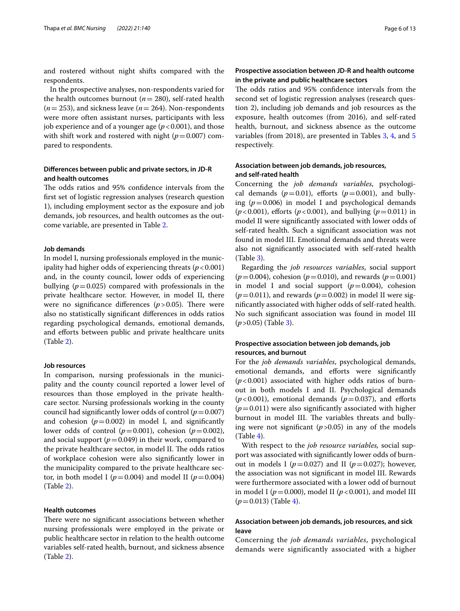and rostered without night shifts compared with the respondents.

In the prospective analyses, non-respondents varied for the health outcomes burnout (*n*= 280), self-rated health (*n*= 253), and sickness leave (*n*= 264). Non-respondents were more often assistant nurses, participants with less job experience and of a younger age  $(p < 0.001)$ , and those with shift work and rostered with night  $(p=0.007)$  compared to respondents.

## **Diferences between public and private sectors, in JD‑R and health outcomes**

The odds ratios and 95% confidence intervals from the frst set of logistic regression analyses (research question 1), including employment sector as the exposure and job demands, job resources, and health outcomes as the outcome variable, are presented in Table [2](#page-6-0).

#### **Job demands**

In model I, nursing professionals employed in the municipality had higher odds of experiencing threats  $(p < 0.001)$ and, in the county council, lower odds of experiencing bullying  $(p=0.025)$  compared with professionals in the private healthcare sector. However, in model II, there were no significance differences  $(p > 0.05)$ . There were also no statistically signifcant diferences in odds ratios regarding psychological demands, emotional demands, and efforts between public and private healthcare units (Table [2](#page-6-0)).

#### **Job resources**

In comparison, nursing professionals in the municipality and the county council reported a lower level of resources than those employed in the private healthcare sector. Nursing professionals working in the county council had significantly lower odds of control  $(p=0.007)$ and cohesion  $(p=0.002)$  in model I, and significantly lower odds of control  $(p=0.001)$ , cohesion  $(p=0.002)$ , and social support  $(p=0.049)$  in their work, compared to the private healthcare sector, in model II. The odds ratios of workplace cohesion were also signifcantly lower in the municipality compared to the private healthcare sector, in both model I ( $p=0.004$ ) and model II ( $p=0.004$ ) (Table [2](#page-6-0)).

## **Health outcomes**

There were no significant associations between whether nursing professionals were employed in the private or public healthcare sector in relation to the health outcome variables self-rated health, burnout, and sickness absence (Table [2](#page-6-0)).

## **Prospective association between JD‑R and health outcome in the private and public healthcare sectors**

The odds ratios and 95% confidence intervals from the second set of logistic regression analyses (research question 2), including job demands and job resources as the exposure, health outcomes (from 2016), and self-rated health, burnout, and sickness absence as the outcome variables (from 2018), are presented in Tables [3,](#page-7-0) [4,](#page-8-0) and [5](#page-8-1) respectively.

## **Association between job demands, job resources, and self‑rated health**

Concerning the *job demands variables*, psychological demands  $(p=0.01)$ , efforts  $(p=0.001)$ , and bullying  $(p=0.006)$  in model I and psychological demands  $(p < 0.001)$ , efforts  $(p < 0.001)$ , and bullying  $(p = 0.011)$  in model II were signifcantly associated with lower odds of self-rated health. Such a signifcant association was not found in model III. Emotional demands and threats were also not signifcantly associated with self-rated health (Table [3\)](#page-7-0).

Regarding the *job resources variables*, social support  $(p=0.004)$ , cohesion  $(p=0.010)$ , and rewards  $(p=0.001)$ in model I and social support  $(p=0.004)$ , cohesion  $(p=0.011)$ , and rewards  $(p=0.002)$  in model II were signifcantly associated with higher odds of self-rated health. No such signifcant association was found in model III (*p*>0.05) (Table [3\)](#page-7-0).

#### **Prospective association between job demands, job resources, and burnout**

For the *job demands variables*, psychological demands, emotional demands, and efforts were significantly  $(p<0.001)$  associated with higher odds ratios of burnout in both models I and II. Psychological demands  $(p<0.001)$ , emotional demands  $(p=0.037)$ , and efforts  $(p=0.011)$  were also significantly associated with higher burnout in model III. The variables threats and bullying were not significant  $(p>0.05)$  in any of the models  $(Table 4)$  $(Table 4)$ .

With respect to the *job resource variables,* social support was associated with signifcantly lower odds of burnout in models I ( $p=0.027$ ) and II ( $p=0.027$ ); however, the association was not signifcant in model III. Rewards were furthermore associated with a lower odd of burnout in model I ( $p = 0.000$ ), model II ( $p < 0.001$ ), and model III (*p*=0.013) (Table [4](#page-8-0)).

## **Association between job demands, job resources, and sick leave**

Concerning the *job demands variables*, psychological demands were significantly associated with a higher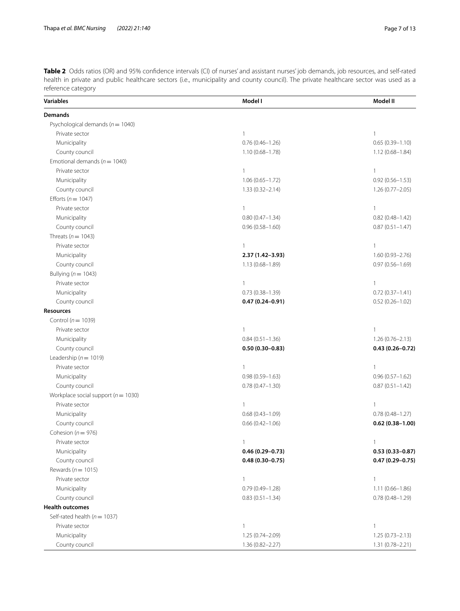<span id="page-6-0"></span>**Table 2** Odds ratios (OR) and 95% confidence intervals (CI) of nurses' and assistant nurses' job demands, job resources, and self-rated health in private and public healthcare sectors (i.e., municipality and county council). The private healthcare sector was used as a reference category

| <b>Variables</b>                        | Model I             | Model II            |
|-----------------------------------------|---------------------|---------------------|
| Demands                                 |                     |                     |
| Psychological demands ( $n = 1040$ )    |                     |                     |
| Private sector                          | $\mathbf{1}$        | $\mathbf{1}$        |
| Municipality                            | $0.76(0.46 - 1.26)$ | $0.65(0.39 - 1.10)$ |
| County council                          | $1.10(0.68 - 1.78)$ | $1.12(0.68 - 1.84)$ |
| Emotional demands ( $n = 1040$ )        |                     |                     |
| Private sector                          | $\mathbf{1}$        | $\mathbf{1}$        |
| Municipality                            | $1.06(0.65 - 1.72)$ | $0.92(0.56 - 1.53)$ |
| County council                          | $1.33(0.32 - 2.14)$ | 1.26 (0.77-2.05)    |
| Efforts ( $n = 1047$ )                  |                     |                     |
| Private sector                          | $\mathbf{1}$        | $\mathbf{1}$        |
| Municipality                            | $0.80(0.47 - 1.34)$ | $0.82(0.48 - 1.42)$ |
| County council                          | $0.96(0.58 - 1.60)$ | $0.87(0.51 - 1.47)$ |
| Threats ( $n = 1043$ )                  |                     |                     |
| Private sector                          | $\mathbf{1}$        | $\mathbf{1}$        |
| Municipality                            | 2.37 (1.42-3.93)    | $1.60(0.93 - 2.76)$ |
| County council                          | 1.13 (0.68-1.89)    | $0.97(0.56 - 1.69)$ |
| Bullying ( $n = 1043$ )                 |                     |                     |
| Private sector                          | $\mathbf{1}$        | $\mathbf{1}$        |
| Municipality                            | $0.73(0.38 - 1.39)$ | $0.72(0.37 - 1.41)$ |
| County council                          | $0.47(0.24 - 0.91)$ | $0.52(0.26 - 1.02)$ |
| <b>Resources</b>                        |                     |                     |
| Control ( $n = 1039$ )                  |                     |                     |
| Private sector                          | 1                   | $\mathbf{1}$        |
| Municipality                            | $0.84(0.51 - 1.36)$ | $1.26(0.76 - 2.13)$ |
| County council                          | $0.50(0.30 - 0.83)$ | $0.43(0.26 - 0.72)$ |
| Leadership ( $n = 1019$ )               |                     |                     |
| Private sector                          | $\mathbf{1}$        | $\mathbf{1}$        |
| Municipality                            | $0.98(0.59 - 1.63)$ | $0.96(0.57 - 1.62)$ |
| County council                          | $0.78(0.47 - 1.30)$ | $0.87(0.51 - 1.42)$ |
| Workplace social support ( $n = 1030$ ) |                     |                     |
| Private sector                          | $\mathbf{1}$        | $\mathbf{1}$        |
| Municipality                            | $0.68(0.43 - 1.09)$ | $0.78(0.48 - 1.27)$ |
| County council                          | $0.66(0.42 - 1.06)$ | $0.62(0.38 - 1.00)$ |
| Cohesion ( $n = 976$ )                  |                     |                     |
| Private sector                          |                     |                     |
| Municipality                            | $0.46(0.29 - 0.73)$ | $0.53(0.33 - 0.87)$ |
| County council                          | $0.48(0.30 - 0.75)$ | $0.47(0.29 - 0.75)$ |
| Rewards ( $n = 1015$ )                  |                     |                     |
| Private sector                          | $\mathbf{1}$        | 1                   |
| Municipality                            | $0.79(0.49 - 1.28)$ | $1.11(0.66 - 1.86)$ |
| County council                          | $0.83(0.51 - 1.34)$ | $0.78(0.48 - 1.29)$ |
| <b>Health outcomes</b>                  |                     |                     |
| Self-rated health ( $n = 1037$ )        |                     |                     |
| Private sector                          | $\mathbf{1}$        | 1                   |
| Municipality                            | 1.25 (0.74-2.09)    | $1.25(0.73 - 2.13)$ |
| County council                          | $1.36(0.82 - 2.27)$ | $1.31(0.78 - 2.21)$ |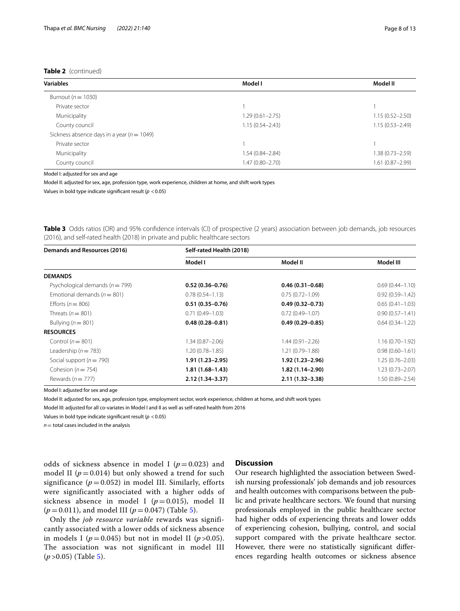| <b>Variables</b>                               | Model I             | Model II            |
|------------------------------------------------|---------------------|---------------------|
| Burnout ( $n = 1030$ )                         |                     |                     |
| Private sector                                 |                     |                     |
| Municipality                                   | $1.29(0.61 - 2.75)$ | $1.15(0.52 - 2.50)$ |
| County council                                 | $1.15(0.54 - 2.43)$ | $1.15(0.53 - 2.49)$ |
| Sickness absence days in a year ( $n = 1049$ ) |                     |                     |
| Private sector                                 |                     |                     |
| Municipality                                   | $1.54(0.84 - 2.84)$ | $1.38(0.73 - 2.59)$ |
| County council                                 | $1.47(0.80 - 2.70)$ | $1.61(0.87 - 2.99)$ |

Model I: adjusted for sex and age

Model II: adjusted for sex, age, profession type, work experience, children at home, and shift work types

Values in bold type indicate signifcant result (*p* <0.05)

<span id="page-7-0"></span>**Table 3** Odds ratios (OR) and 95% confdence intervals (CI) of prospective (2 years) association between job demands, job resources (2016), and self-rated health (2018) in private and public healthcare sectors

| Demands and Resources (2016)        | Self-rated Health (2018) |                     |                     |
|-------------------------------------|--------------------------|---------------------|---------------------|
|                                     | Model I                  | Model II            | Model III           |
| <b>DEMANDS</b>                      |                          |                     |                     |
| Psychological demands ( $n = 799$ ) | $0.52(0.36 - 0.76)$      | $0.46(0.31 - 0.68)$ | $0.69(0.44 - 1.10)$ |
| Emotional demands ( $n = 801$ )     | $0.78(0.54 - 1.13)$      | $0.75(0.72 - 1.09)$ | $0.92(0.59 - 1.42)$ |
| Efforts ( $n = 806$ )               | $0.51(0.35-0.76)$        | $0.49(0.32 - 0.73)$ | $0.65(0.41 - 1.03)$ |
| Threats $(n = 801)$                 | $0.71(0.49 - 1.03)$      | $0.72(0.49 - 1.07)$ | $0.90(0.57 - 1.41)$ |
| Bullying ( $n = 801$ )              | $0.48(0.28 - 0.81)$      | $0.49(0.29 - 0.85)$ | $0.64(0.34 - 1.22)$ |
| <b>RESOURCES</b>                    |                          |                     |                     |
| Control ( $n = 801$ )               | $1.34(0.87 - 2.06)$      | $1.44(0.91 - 2.26)$ | $1.16(0.70 - 1.92)$ |
| Leadership ( $n = 783$ )            | $1.20(0.78 - 1.85)$      | $1.21(0.79 - 1.88)$ | $0.98(0.60 - 1.61)$ |
| Social support ( $n = 790$ )        | $1.91(1.23 - 2.95)$      | 1.92 (1.23-2.96)    | $1.25(0.76 - 2.03)$ |
| Cohesion ( $n = 754$ )              | $1.81(1.68 - 1.43)$      | $1.82(1.14 - 2.90)$ | $1.23(0.73 - 2.07)$ |
| Rewards ( $n = 777$ )               | $2.12(1.34 - 3.37)$      | 2.11 (1.32-3.38)    | 1.50 (0.89-2.54)    |

Model I: adjusted for sex and age

Model II: adjusted for sex, age, profession type, employment sector, work experience, children at home, and shift work types

Model III: adjusted for all co-variates in Model I and II as well as self-rated health from 2016

Values in bold type indicate signifcant result (*p* <0.05)

 $n=$  total cases included in the analysis

odds of sickness absence in model I  $(p=0.023)$  and model II ( $p = 0.014$ ) but only showed a trend for such significance  $(p=0.052)$  in model III. Similarly, efforts were significantly associated with a higher odds of sickness absence in model I  $(p=0.015)$ , model II  $(p=0.011)$ , and model III ( $p=0.047$ ) (Table [5](#page-8-1)).

Only the *job resource variable* rewards was significantly associated with a lower odds of sickness absence in models I ( $p = 0.045$ ) but not in model II ( $p > 0.05$ ). The association was not significant in model III (*p* >0.05) (Table [5](#page-8-1)).

#### **Discussion**

Our research highlighted the association between Swedish nursing professionals' job demands and job resources and health outcomes with comparisons between the public and private healthcare sectors. We found that nursing professionals employed in the public healthcare sector had higher odds of experiencing threats and lower odds of experiencing cohesion, bullying, control, and social support compared with the private healthcare sector. However, there were no statistically signifcant diferences regarding health outcomes or sickness absence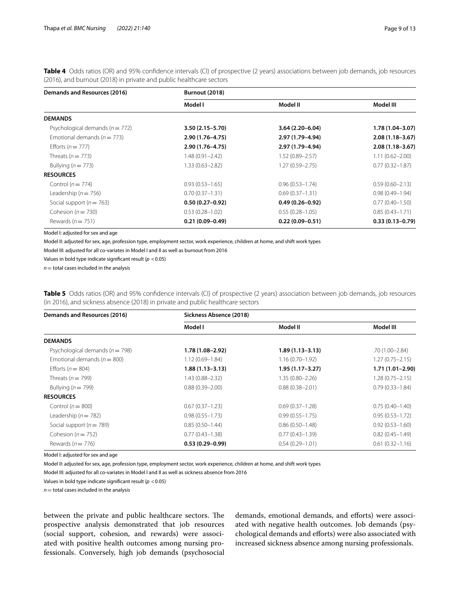<span id="page-8-0"></span>**Table 4** Odds ratios (OR) and 95% confdence intervals (CI) of prospective (2 years) associations between job demands, job resources (2016), and burnout (2018) in private and public healthcare sectors

| Demands and Resources (2016)        | <b>Burnout (2018)</b> |                     |                     |
|-------------------------------------|-----------------------|---------------------|---------------------|
|                                     | Model I               | Model II            | Model III           |
| <b>DEMANDS</b>                      |                       |                     |                     |
| Psychological demands ( $n = 772$ ) | $3.50(2.15 - 5.70)$   | $3.64(2.20 - 6.04)$ | $1.78(1.04 - 3.07)$ |
| Emotional demands ( $n = 773$ )     | 2.90 (1.76-4.75)      | 2.97 (1.79–4.94)    | $2.08(1.18 - 3.67)$ |
| Efforts ( $n = 777$ )               | 2.90 (1.76-4.75)      | 2.97 (1.79-4.94)    | $2.08(1.18 - 3.67)$ |
| Threats ( $n = 773$ )               | $1.48(0.91 - 2.42)$   | $1.52(0.89 - 2.57)$ | $1.11(0.62 - 2.00)$ |
| Bullying ( $n = 773$ )              | 1.33 (0.63–2.82)      | $1.27(0.59 - 2.75)$ | $0.77(0.32 - 1.87)$ |
| <b>RESOURCES</b>                    |                       |                     |                     |
| Control ( $n = 774$ )               | $0.93(0.53 - 1.65)$   | $0.96(0.53 - 1.74)$ | $0.59(0.60 - 2.13)$ |
| Leadership ( $n = 756$ )            | $0.70(0.37 - 1.31)$   | $0.69(0.37 - 1.31)$ | $0.98(0.49 - 1.94)$ |
| Social support ( $n = 763$ )        | $0.50(0.27-0.92)$     | $0.49(0.26 - 0.92)$ | $0.77(0.40 - 1.50)$ |
| Cohesion ( $n = 730$ )              | $0.53(0.28 - 1.02)$   | $0.55(0.28 - 1.05)$ | $0.85(0.43 - 1.71)$ |
| Rewards ( $n = 751$ )               | $0.21(0.09 - 0.49)$   | $0.22(0.09 - 0.51)$ | $0.33(0.13 - 0.79)$ |

Model I: adjusted for sex and age

Model II: adjusted for sex, age, profession type, employment sector, work experience, children at home, and shift work types

Model III: adjusted for all co-variates in Model I and II as well as burnout from 2016

Values in bold type indicate signifcant result (*p* <0.05)

 $n=$  total cases included in the analysis

<span id="page-8-1"></span>**Table 5** Odds ratios (OR) and 95% confidence intervals (CI) of prospective (2 years) association between job demands, job resources (in 2016), and sickness absence (2018) in private and public healthcare sectors

| Demands and Resources (2016)        | Sickness Absence (2018) |                     |                     |
|-------------------------------------|-------------------------|---------------------|---------------------|
|                                     | Model I                 | Model II            | Model III           |
| <b>DEMANDS</b>                      |                         |                     |                     |
| Psychological demands ( $n = 798$ ) | 1.78 (1.08-2.92)        | $1.89(1.13 - 3.13)$ | .70 (1.00–2.84)     |
| Emotional demands ( $n = 800$ )     | $1.12(0.69 - 1.84)$     | $1.16(0.70 - 1.92)$ | $1.27(0.75 - 2.15)$ |
| Efforts ( $n = 804$ )               | $1.88(1.13 - 3.13)$     | $1.95(1.17 - 3.27)$ | 1.71 (1.01-2.90)    |
| Threats ( $n = 799$ )               | $1.43(0.88 - 2.32)$     | $1.35(0.80 - 2.26)$ | $1.28(0.75 - 2.15)$ |
| Bullying ( $n = 799$ )              | $0.88(0.39 - 2.00)$     | $0.88(0.38 - 2.01)$ | $0.79(0.33 - 1.84)$ |
| <b>RESOURCES</b>                    |                         |                     |                     |
| Control ( $n = 800$ )               | $0.67(0.37-1.23)$       | $0.69(0.37 - 1.28)$ | $0.75(0.40-1.40)$   |
| Leadership ( $n = 782$ )            | $0.98(0.55 - 1.73)$     | $0.99(0.55 - 1.75)$ | $0.95(0.53 - 1.72)$ |
| Social support ( $n = 789$ )        | $0.85(0.50-1.44)$       | $0.86(0.50-1.48)$   | $0.92(0.53 - 1.60)$ |
| Cohesion ( $n = 752$ )              | $0.77(0.43 - 1.38)$     | $0.77(0.43 - 1.39)$ | $0.82(0.45 - 1.49)$ |
| Rewards ( $n = 776$ )               | $0.53(0.29 - 0.99)$     | $0.54(0.29 - 1.01)$ | $0.61(0.32 - 1.16)$ |

Model I: adjusted for sex and age

Model II: adjusted for sex, age, profession type, employment sector, work experience, children at home, and shift work types

Model III: adjusted for all co-variates in Model I and II as well as sickness absence from 2016

Values in bold type indicate signifcant result (*p* <0.05)

 $n=$  total cases included in the analysis

between the private and public healthcare sectors. The prospective analysis demonstrated that job resources (social support, cohesion, and rewards) were associated with positive health outcomes among nursing professionals. Conversely, high job demands (psychosocial demands, emotional demands, and efforts) were associated with negative health outcomes. Job demands (psychological demands and efforts) were also associated with increased sickness absence among nursing professionals.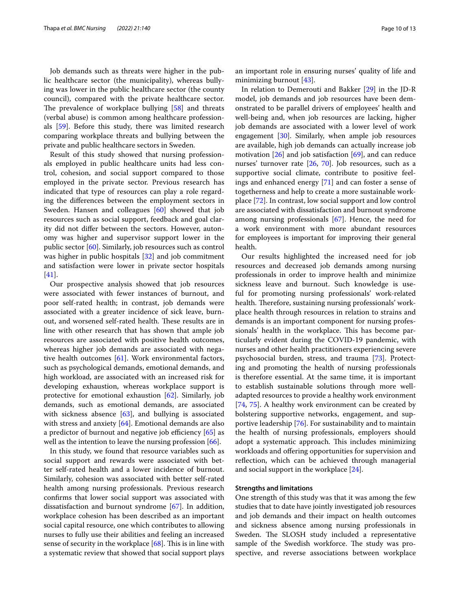Job demands such as threats were higher in the public healthcare sector (the municipality), whereas bullying was lower in the public healthcare sector (the county council), compared with the private healthcare sector. The prevalence of workplace bullying  $[58]$  $[58]$  and threats (verbal abuse) is common among healthcare professionals [[59](#page-12-22)]. Before this study, there was limited research comparing workplace threats and bullying between the private and public healthcare sectors in Sweden.

Result of this study showed that nursing professionals employed in public healthcare units had less control, cohesion, and social support compared to those employed in the private sector. Previous research has indicated that type of resources can play a role regarding the diferences between the employment sectors in Sweden. Hansen and colleagues [\[60](#page-12-23)] showed that job resources such as social support, feedback and goal clarity did not difer between the sectors. However, autonomy was higher and supervisor support lower in the public sector [[60\]](#page-12-23). Similarly, job resources such as control was higher in public hospitals [\[32\]](#page-11-31) and job commitment and satisfaction were lower in private sector hospitals [[41\]](#page-12-4).

Our prospective analysis showed that job resources were associated with fewer instances of burnout, and poor self-rated health; in contrast, job demands were associated with a greater incidence of sick leave, burnout, and worsened self-rated health. These results are in line with other research that has shown that ample job resources are associated with positive health outcomes, whereas higher job demands are associated with negative health outcomes [\[61\]](#page-12-24). Work environmental factors, such as psychological demands, emotional demands, and high workload, are associated with an increased risk for developing exhaustion, whereas workplace support is protective for emotional exhaustion [[62\]](#page-12-25). Similarly, job demands, such as emotional demands, are associated with sickness absence [[63](#page-12-26)], and bullying is associated with stress and anxiety [\[64](#page-12-27)]. Emotional demands are also a predictor of burnout and negative job efficiency  $[65]$  $[65]$  as well as the intention to leave the nursing profession [\[66](#page-12-29)].

In this study, we found that resource variables such as social support and rewards were associated with better self-rated health and a lower incidence of burnout. Similarly, cohesion was associated with better self-rated health among nursing professionals. Previous research confrms that lower social support was associated with dissatisfaction and burnout syndrome [[67](#page-12-30)]. In addition, workplace cohesion has been described as an important social capital resource, one which contributes to allowing nurses to fully use their abilities and feeling an increased sense of security in the workplace  $[68]$  $[68]$ . This is in line with a systematic review that showed that social support plays an important role in ensuring nurses' quality of life and minimizing burnout [\[43](#page-12-6)].

In relation to Demerouti and Bakker [[29\]](#page-11-28) in the JD-R model, job demands and job resources have been demonstrated to be parallel drivers of employees' health and well-being and, when job resources are lacking, higher job demands are associated with a lower level of work engagement [\[30](#page-11-29)]. Similarly, when ample job resources are available, high job demands can actually increase job motivation [[26](#page-11-25)] and job satisfaction [\[69](#page-12-32)], and can reduce nurses' turnover rate [\[26](#page-11-25), [70](#page-12-33)]. Job resources, such as a supportive social climate, contribute to positive feelings and enhanced energy [\[71](#page-12-34)] and can foster a sense of togetherness and help to create a more sustainable workplace [\[72](#page-12-35)]. In contrast, low social support and low control are associated with dissatisfaction and burnout syndrome among nursing professionals [\[67\]](#page-12-30). Hence, the need for a work environment with more abundant resources for employees is important for improving their general health.

Our results highlighted the increased need for job resources and decreased job demands among nursing professionals in order to improve health and minimize sickness leave and burnout. Such knowledge is useful for promoting nursing professionals' work-related health. Therefore, sustaining nursing professionals' workplace health through resources in relation to strains and demands is an important component for nursing professionals' health in the workplace. This has become particularly evident during the COVID-19 pandemic, with nurses and other health practitioners experiencing severe psychosocial burden, stress, and trauma [\[73](#page-12-36)]. Protecting and promoting the health of nursing professionals is therefore essential. At the same time, it is important to establish sustainable solutions through more welladapted resources to provide a healthy work environment [[74,](#page-12-37) [75](#page-12-38)]. A healthy work environment can be created by bolstering supportive networks, engagement, and supportive leadership [[76\]](#page-12-39). For sustainability and to maintain the health of nursing professionals, employers should adopt a systematic approach. This includes minimizing workloads and ofering opportunities for supervision and reflection, which can be achieved through managerial and social support in the workplace [\[24](#page-11-23)].

#### **Strengths and limitations**

One strength of this study was that it was among the few studies that to date have jointly investigated job resources and job demands and their impact on health outcomes and sickness absence among nursing professionals in Sweden. The SLOSH study included a representative sample of the Swedish workforce. The study was prospective, and reverse associations between workplace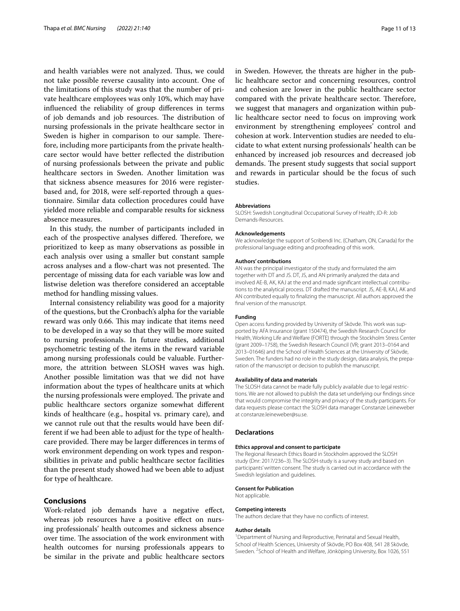and health variables were not analyzed. Thus, we could not take possible reverse causality into account. One of the limitations of this study was that the number of private healthcare employees was only 10%, which may have infuenced the reliability of group diferences in terms of job demands and job resources. The distribution of nursing professionals in the private healthcare sector in Sweden is higher in comparison to our sample. Therefore, including more participants from the private healthcare sector would have better refected the distribution of nursing professionals between the private and public healthcare sectors in Sweden. Another limitation was that sickness absence measures for 2016 were registerbased and, for 2018, were self-reported through a questionnaire. Similar data collection procedures could have yielded more reliable and comparable results for sickness absence measures.

In this study, the number of participants included in each of the prospective analyses differed. Therefore, we prioritized to keep as many observations as possible in each analysis over using a smaller but constant sample across analyses and a flow-chart was not presented. The percentage of missing data for each variable was low and listwise deletion was therefore considered an acceptable method for handling missing values.

Internal consistency reliability was good for a majority of the questions, but the Cronbach's alpha for the variable reward was only 0.66. This may indicate that items need to be developed in a way so that they will be more suited to nursing professionals. In future studies, additional psychometric testing of the items in the reward variable among nursing professionals could be valuable. Furthermore, the attrition between SLOSH waves was high. Another possible limitation was that we did not have information about the types of healthcare units at which the nursing professionals were employed. The private and public healthcare sectors organize somewhat diferent kinds of healthcare (e.g., hospital vs. primary care), and we cannot rule out that the results would have been different if we had been able to adjust for the type of healthcare provided. There may be larger differences in terms of work environment depending on work types and responsibilities in private and public healthcare sector facilities than the present study showed had we been able to adjust for type of healthcare.

#### **Conclusions**

Work-related job demands have a negative efect, whereas job resources have a positive effect on nursing professionals' health outcomes and sickness absence over time. The association of the work environment with health outcomes for nursing professionals appears to be similar in the private and public healthcare sectors in Sweden. However, the threats are higher in the public healthcare sector and concerning resources, control and cohesion are lower in the public healthcare sector compared with the private healthcare sector. Therefore, we suggest that managers and organization within public healthcare sector need to focus on improving work environment by strengthening employees' control and cohesion at work. Intervention studies are needed to elucidate to what extent nursing professionals' health can be enhanced by increased job resources and decreased job demands. The present study suggests that social support and rewards in particular should be the focus of such studies.

#### **Abbreviations**

SLOSH: Swedish Longitudinal Occupational Survey of Health; JD-R: Job Demands-Resources.

#### **Acknowledgements**

We acknowledge the support of Scribendi Inc. (Chatham, ON, Canada) for the professional language editing and proofreading of this work.

#### **Authors' contributions**

AN was the principal investigator of the study and formulated the aim together with DT and JS. DT, JS, and AN primarily analyzed the data and involved AE-B, AK, KAJ at the end and made significant intellectual contributions to the analytical process. DT drafted the manuscript. JS, AE-B, KAJ, AK and AN contributed equally to fnalizing the manuscript. All authors approved the fnal version of the manuscript.

#### **Funding**

Open access funding provided by University of Skövde. This work was supported by AFA Insurance (grant 150474), the Swedish Research Council for Health, Working Life and Welfare (FORTE) through the Stockholm Stress Center (grant 2009–1758), the Swedish Research Council (VR; grant 2013–0164 and 2013–01646) and the School of Health Sciences at the University of Skövde, Sweden. The funders had no role in the study design, data analysis, the preparation of the manuscript or decision to publish the manuscript.

#### **Availability of data and materials**

The SLOSH data cannot be made fully publicly available due to legal restrictions. We are not allowed to publish the data set underlying our fndings since that would compromise the integrity and privacy of the study participants. For data requests please contact the SLOSH data manager Constanze Leineweber at constanze.leineweber@su.se.

#### **Declarations**

#### **Ethics approval and consent to participate**

The Regional Research Ethics Board in Stockholm approved the SLOSH study (Dnr: 2017/236–3). The SLOSH-study is a survey study and based on participants' written consent. The study is carried out in accordance with the Swedish legislation and guidelines.

#### **Consent for Publication**

Not applicable.

#### **Competing interests** The authors declare that they have no conficts of interest.

#### **Author details**

<sup>1</sup> Department of Nursing and Reproductive, Perinatal and Sexual Health, School of Health Sciences, University of Skövde, PO Box 408, 541 28 Skövde, Sweden. <sup>2</sup> School of Health and Welfare, Jönköping University, Box 1026, 551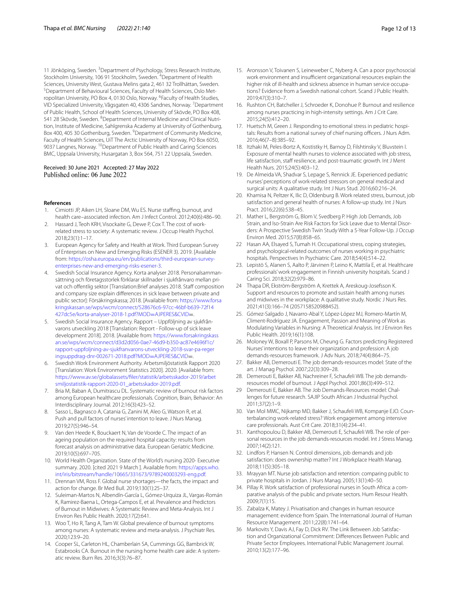11 Jönköping, Sweden. <sup>3</sup> Department of Psychology, Stress Research Institute, Stockholm University, 106 91 Stockholm, Sweden. <sup>4</sup>Department of Health Sciences, University West, Gustava Melins gata 2, 461 32 Trollhättan, Sweden. <sup>5</sup> Department of Behavioural Sciences, Faculty of Health Sciences, Oslo Metropolitan University, PO Box 4, 0130 Oslo, Norway. <sup>6</sup>Faculty of Health Studies, VID Specialized University, Vågsgaten 40, 4306 Sandnes, Norway. 7 Department of Public Health, School of Health Sciences, University of Skövde, PO Box 408, 541 28 Skövde, Sweden. <sup>8</sup>Department of Internal Medicine and Clinical Nutrition, Institute of Medicine, Sahlgrenska Academy at University of Gothenburg, Box 400, 405 30 Gothenburg, Sweden. <sup>9</sup> Department of Community Medicine, Faculty of Health Sciences, UiT The Arctic University of Norway, PO Box 6050, 9037 Langnes, Norway. <sup>10</sup> Department of Public Health and Caring Sciences BMC, Uppsala University, Husargatan 3, Box 564, 751 22 Uppsala, Sweden.

#### Received: 30 June 2021 Accepted: 27 May 2022 Published online: 06 June 2022

#### **References**

- <span id="page-11-0"></span>Cimiotti JP, Aiken LH, Sloane DM, Wu ES. Nurse staffing, burnout, and health care–associated infection. Am J Infect Control. 2012;40(6):486–90.
- <span id="page-11-1"></span>Hassard J, Teoh KRH, Visockaite G, Dewe P, Cox T. The cost of workrelated stress to society: A systematic review. J Occup Health Psychol. 2018;23(1):1–17.
- <span id="page-11-2"></span>3. European Agency for Safety and Health at Work. Third European Survey of Enterprises on New and Emerging Risks (ESENER 3). 2019. [Available from: [https://osha.europa.eu/en/publications/third-european-survey](https://osha.europa.eu/en/publications/third-european-survey-enterprises-new-and-emerging-risks-esener-3) [enterprises-new-and-emerging-risks-esener-3](https://osha.europa.eu/en/publications/third-european-survey-enterprises-new-and-emerging-risks-esener-3).
- <span id="page-11-3"></span>Swedish Social Insurance Agency. Korta analyser 2018. Personalsammansättning och företagsstorlek förklarar skillnader i sjukfrånvaro mellan privat och offentlig sektor [Translation:Brief analyses 2018. Staff composition and company size explain diferences in sick leave between private and public sector]: Försäkringskassa; 2018. [Available from: [https://www.forsa](https://www.forsakringskassan.se/wps/wcm/connect/528676c6-97cc-46bf-b639-72f14427dc5e/korta-analyser-2018-1.pdf?MOD=AJPERES&CVID) [kringskassan.se/wps/wcm/connect/528676c6-97cc-46bf-b639-72f14](https://www.forsakringskassan.se/wps/wcm/connect/528676c6-97cc-46bf-b639-72f14427dc5e/korta-analyser-2018-1.pdf?MOD=AJPERES&CVID) [427dc5e/korta-analyser-2018-1.pdf?MOD](https://www.forsakringskassan.se/wps/wcm/connect/528676c6-97cc-46bf-b639-72f14427dc5e/korta-analyser-2018-1.pdf?MOD=AJPERES&CVID)=AJPERES&CVID=.
- <span id="page-11-4"></span>5. Swedish Social Insurance Agency. Rapport – Uppföljning av sjukfrånvarons utveckling 2018 [Translation: Report - Follow-up of sick leave development 2018]. 2018. [Available from: [https://www.forsakringskass](https://www.forsakringskassan.se/wps/wcm/connect/d3d2d056-0ae7-46d9-b350-ac87e4696f1c/rapport-uppfoljning-av-sjukfranvarons-utveckling-2018-svar-pa-regeringsuppdrag-dnr-002671-2018.pdf?MOD=AJPERES&CVID) [an.se/wps/wcm/connect/d3d2d056-0ae7-46d9-b350-ac87e4696f1c/](https://www.forsakringskassan.se/wps/wcm/connect/d3d2d056-0ae7-46d9-b350-ac87e4696f1c/rapport-uppfoljning-av-sjukfranvarons-utveckling-2018-svar-pa-regeringsuppdrag-dnr-002671-2018.pdf?MOD=AJPERES&CVID) [rapport-uppfoljning-av-sjukfranvarons-utveckling-2018-svar-pa-reger](https://www.forsakringskassan.se/wps/wcm/connect/d3d2d056-0ae7-46d9-b350-ac87e4696f1c/rapport-uppfoljning-av-sjukfranvarons-utveckling-2018-svar-pa-regeringsuppdrag-dnr-002671-2018.pdf?MOD=AJPERES&CVID) [ingsuppdrag-dnr-002671-2018.pdf?MOD](https://www.forsakringskassan.se/wps/wcm/connect/d3d2d056-0ae7-46d9-b350-ac87e4696f1c/rapport-uppfoljning-av-sjukfranvarons-utveckling-2018-svar-pa-regeringsuppdrag-dnr-002671-2018.pdf?MOD=AJPERES&CVID)=AJPERES&CVID=.
- <span id="page-11-5"></span>6. Swedish Work Environment Authority. Arbetsmiljöstatistik Rapport 2020 [Translation: Work Environment Statistics 2020]. 2020. [Available from: [https://www.av.se/globalassets/fler/statistik/arbetsskador-2019/arbet](https://www.av.se/globalassets/filer/statistik/arbetsskador-2019/arbetsmiljostatistik-rapport-2020-01_arbetsskador-2019.pdf) [smiljostatistik-rapport-2020-01\\_arbetsskador-2019.pdf](https://www.av.se/globalassets/filer/statistik/arbetsskador-2019/arbetsmiljostatistik-rapport-2020-01_arbetsskador-2019.pdf).
- <span id="page-11-6"></span>7. Bria M, Baban A, Dumitrascu DL. Systematic review of burnout risk factors among European healthcare professionals. Cognition, Brain, Behavior: An Interdisciplinary Journal. 2012;16(3):423–52.
- <span id="page-11-7"></span>8. Sasso L, Bagnasco A, Catania G, Zanini M, Aleo G, Watson R, et al. Push and pull factors of nurses' intention to leave. J Nurs Manag. 2019;27(5):946–54.
- <span id="page-11-8"></span>9. Van den Heede K, Bouckaert N, Van de Voorde C. The impact of an ageing population on the required hospital capacity: results from forecast analysis on administrative data. European Geriatric Medicine. 2019;10(5):697–705.
- <span id="page-11-9"></span>10. World Health Organization. State of the World's nursing 2020- Executive summary. 2020. [cited 2021 9 March ]. Available from: [https://apps.who.](https://apps.who.int/iris/bitstream/handle/10665/331673/9789240003293-eng.pdf) [int/iris/bitstream/handle/10665/331673/9789240003293-eng.pdf.](https://apps.who.int/iris/bitstream/handle/10665/331673/9789240003293-eng.pdf)
- <span id="page-11-10"></span>11. Drennan VM, Ross F. Global nurse shortages—the facts, the impact and action for change. Br Med Bull. 2019;130(1):25–37.
- <span id="page-11-11"></span>12. Suleiman-Martos N, Albendín-García L, Gómez-Urquiza JL, Vargas-Román K, Ramirez-Baena L, Ortega-Campos E, et al. Prevalence and Predictors of Burnout in Midwives: A Systematic Review and Meta-Analysis. Int J Environ Res Public Health. 2020;17(2):641.
- <span id="page-11-12"></span>13. Woo T, Ho R, Tang A, Tam W. Global prevalence of burnout symptoms among nurses: A systematic review and meta-analysis. J Psychiatr Res. 2020;123:9–20.
- <span id="page-11-13"></span>14. Cooper SL, Carleton HL, Chamberlain SA, Cummings GG, Bambrick W, Estabrooks CA. Burnout in the nursing home health care aide: A systematic review. Burn Res. 2016;3(3):76–87.
- <span id="page-11-14"></span>15. Aronsson V, Toivanen S, Leineweber C, Nyberg A. Can a poor psychosocial work environment and insufficient organizational resources explain the higher risk of ill-health and sickness absence in human service occupations? Evidence from a Swedish national cohort. Scand J Public Health. 2019;47(3):310–7.
- <span id="page-11-15"></span>16. Rushton CH, Batcheller J, Schroeder K, Donohue P. Burnout and resilience among nurses practicing in high-intensity settings. Am J Crit Care. 2015;24(5):412–20.
- <span id="page-11-16"></span>17. Huetsch M, Green J. Responding to emotional stress in pediatric hospitals: Results from a national survey of chief nursing officers. J Nurs Adm. 2016;46(7–8):385–92.
- <span id="page-11-17"></span>18. Itzhaki M, Peles-Bortz A, Kostistky H, Barnoy D, Filshtinsky V, Bluvstein I. Exposure of mental health nurses to violence associated with job stress, life satisfaction, staff resilience, and post-traumatic growth. Int J Ment Health Nurs. 2015;24(5):403–12.
- <span id="page-11-18"></span>19. De Almeida VA, Shadvar S, Lepage S, Rennick JE. Experienced pediatric nurses' perceptions of work-related stressors on general medical and surgical units: A qualitative study. Int J Nurs Stud. 2016;60:216–24.
- <span id="page-11-19"></span>20. Khamisa N, Peltzer K, Ilic D, Oldenburg B. Work related stress, burnout, job satisfaction and general health of nurses: A follow-up study. Int J Nurs Pract. 2016;22(6):538–45.
- <span id="page-11-20"></span>21. Mather L, Bergström G, Blom V, Svedberg P. High Job Demands, Job Strain, and Iso-Strain Are Risk Factors for Sick Leave due to Mental Disorders: A Prospective Swedish Twin Study With a 5-Year Follow-Up. J Occup Environ Med. 2015;57(8):858–65.
- <span id="page-11-21"></span>22 Hasan AA, Elsayed S, Tumah H. Occupational stress, coping strategies, and psychological-related outcomes of nurses working in psychiatric hospitals. Perspectives In Psychiatric Care. 2018;54(4):514–22.
- <span id="page-11-22"></span>23. Lepistö S, Alanen S, Aalto P, Järvinen P, Leino K, Mattila E, et al. Healthcare professionals' work engagement in Finnish university hospitals. Scand J Caring Sci. 2018;32(2):979–86.
- <span id="page-11-23"></span>24 Thapa DR, Ekström-Bergström A, Krettek A, Areskoug-Josefsson K. Support and resources to promote and sustain health among nurses and midwives in the workplace: A qualitative study. Nordic J Nurs Res. 2021;41(3):166–74 (2057158520988452).
- <span id="page-11-24"></span>25. Gómez-Salgado J, Navarro-Abal Y, López-López MJ, Romero-Martín M, Climent-Rodríguez JA. Engagement, Passion and Meaning of Work as Modulating Variables in Nursing: A Theoretical Analysis. Int J Environ Res Public Health. 2019;16(1):108.
- <span id="page-11-25"></span>26. Moloney W, Boxall P, Parsons M, Cheung G. Factors predicting Registered Nurses' intentions to leave their organization and profession: A job demands-resources framework. J Adv Nurs. 2018;74(4):864–75.
- <span id="page-11-26"></span>27. Bakker AB, Demerouti E. The job demands-resources model: State of the art. J Manag Psychol. 2007;22(3):309–28.
- <span id="page-11-27"></span>28. Demerouti E, Bakker AB, Nachreiner F, Schaufeli WB. The job demandsresources model of burnout. J Appl Psychol. 2001;86(3):499–512.
- <span id="page-11-28"></span>29 Demerouti E, Bakker AB. The Job Demands-Resources model: Challenges for future research. SAJIP South African J Industrial Psychol. 2011;37(2):1–9.
- <span id="page-11-29"></span>30. Van Mol MMC, Nijkamp MD, Bakker J, Schaufeli WB, Kompanje EJO. Counterbalancing work-related stress? Work engagement among intensive care professionals. Aust Crit Care. 2018;31(4):234–41.
- <span id="page-11-30"></span>31. Xanthopoulou D, Bakker AB, Demerouti E, Schaufeli WB. The role of per‑ sonal resources in the job demands-resources model. Int J Stress Manag. 2007;14(2):121.
- <span id="page-11-31"></span>32. Lindfors P, Hansen N. Control dimensions, job demands and job satisfaction: does ownership matter? Int J Workplace Health Manag. 2018;11(5):305–18.
- <span id="page-11-32"></span>33. Mrayyan MT. Nurse job satisfaction and retention: comparing public to private hospitals in Jordan. J Nurs Manag. 2005;13(1):40–50.
- <span id="page-11-33"></span>34. Pillay R. Work satisfaction of professional nurses in South Africa: a comparative analysis of the public and private sectors. Hum Resour Health. 2009;7(1):15.
- <span id="page-11-34"></span>35. Zabalza K, Matey J. Privatisation and changes in human resource management: evidence from Spain. The International Journal of Human Resource Management. 2011;22(8):1741–64.
- <span id="page-11-35"></span>36 Markovits Y, Davis AJ, Fay D, Dick RV. The Link Between Job Satisfaction and Organizational Commitment: Diferences Between Public and Private Sector Employees. International Public Management Journal. 2010;13(2):177–96.